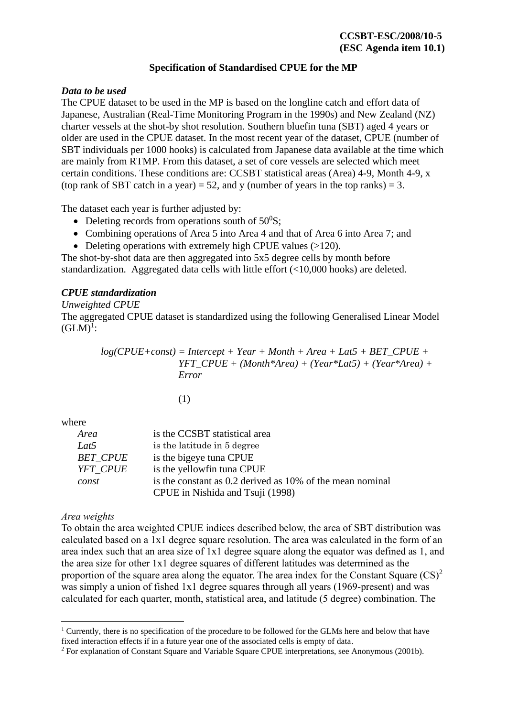## **Specification of Standardised CPUE for the MP**

# *Data to be used*

The CPUE dataset to be used in the MP is based on the longline catch and effort data of Japanese, Australian (Real-Time Monitoring Program in the 1990s) and New Zealand (NZ) charter vessels at the shot-by shot resolution. Southern bluefin tuna (SBT) aged 4 years or older are used in the CPUE dataset. In the most recent year of the dataset, CPUE (number of SBT individuals per 1000 hooks) is calculated from Japanese data available at the time which are mainly from RTMP. From this dataset, a set of core vessels are selected which meet certain conditions. These conditions are: CCSBT statistical areas (Area) 4-9, Month 4-9, x (top rank of SBT catch in a year) = 52, and y (number of years in the top ranks) = 3.

The dataset each year is further adjusted by:

- Deleting records from operations south of  $50^0$ S:
- Combining operations of Area 5 into Area 4 and that of Area 6 into Area 7; and
- Deleting operations with extremely high CPUE values (>120).

The shot-by-shot data are then aggregated into 5x5 degree cells by month before standardization. Aggregated data cells with little effort (<10,000 hooks) are deleted.

# *CPUE standardization*

## *Unweighted CPUE*

The aggregated CPUE dataset is standardized using the following Generalised Linear Model  $(GLM)^{1}$ :

> $log(CPUE+const) = Intercept + Year + Month + Area + Lat5 + BET$  *CPUE + YFT\_CPUE + (Month\*Area) + (Year\*Lat5) + (Year\*Area) + Error*

> > (1)

where

| Area            | is the CCSBT statistical area                             |
|-----------------|-----------------------------------------------------------|
| Lat5            | is the latitude in 5 degree                               |
| <i>BET CPUE</i> | is the bigeye tuna CPUE                                   |
| YFT CPUE        | is the yellowfin tuna CPUE                                |
| const           | is the constant as 0.2 derived as 10% of the mean nominal |
|                 | CPUE in Nishida and Tsuji (1998)                          |

## *Area weights*

To obtain the area weighted CPUE indices described below, the area of SBT distribution was calculated based on a 1x1 degree square resolution. The area was calculated in the form of an area index such that an area size of 1x1 degree square along the equator was defined as 1, and the area size for other 1x1 degree squares of different latitudes was determined as the proportion of the square area along the equator. The area index for the Constant Square  $(CS)^2$ was simply a union of fished 1x1 degree squares through all years (1969-present) and was calculated for each quarter, month, statistical area, and latitude (5 degree) combination. The

<sup>&</sup>lt;sup>1</sup> Currently, there is no specification of the procedure to be followed for the GLMs here and below that have fixed interaction effects if in a future year one of the associated cells is empty of data.

<sup>2</sup> For explanation of Constant Square and Variable Square CPUE interpretations, see Anonymous (2001b).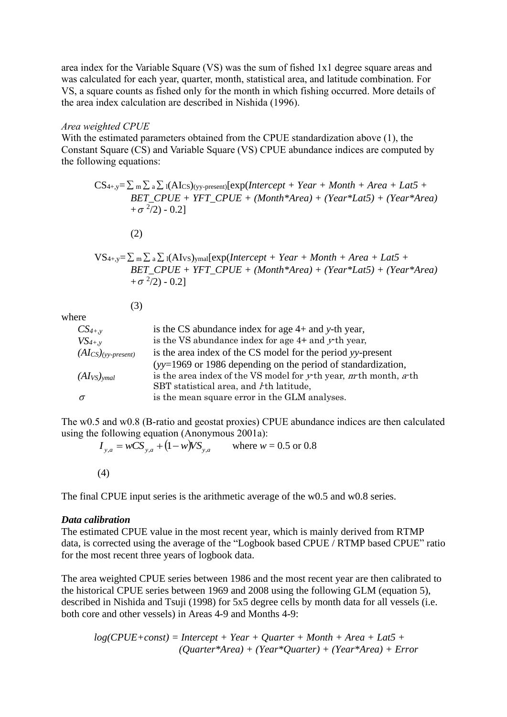area index for the Variable Square (VS) was the sum of fished 1x1 degree square areas and was calculated for each year, quarter, month, statistical area, and latitude combination. For VS, a square counts as fished only for the month in which fishing occurred. More details of the area index calculation are described in Nishida (1996).

#### *Area weighted CPUE*

With the estimated parameters obtained from the CPUE standardization above (1), the Constant Square (CS) and Variable Square (VS) CPUE abundance indices are computed by the following equations:

 $CS_{4+,y} = \sum_{m} \sum_{a} \sum_{l} (AI_{CS})_{(yy\text{-present})} [exp(Intercept + Year + Month + Area + Lat5 + 2)]$ *BET\_CPUE + YFT\_CPUE + (Month\*Area) + (Year\*Lat5) + (Year\*Area)*   $+ \sigma^2/2) - 0.2$ ]

(2)

$$
VS_{4+,y} = \sum_{m} \sum_{a} \sum_{l} (AI_{VS})_{ymal} [exp(Intercept + Year + Month + Area + Lat5 + BET_CPUE + YFT_CPUE + (Month*Area) + (Year*Lat5) + (Year*Area) + \sigma^2/2) - 0.2]
$$

(3)

where

| is the CS abundance index for age $4+$ and y-th year,                   |
|-------------------------------------------------------------------------|
| is the VS abundance index for age $4+$ and $y$ <sup>th</sup> year,      |
| is the area index of the CS model for the period yy-present             |
| $(yy=1969)$ or 1986 depending on the period of standardization,         |
| is the area index of the VS model for $y$ th year, $m$ th month, $a$ th |
| SBT statistical area, and <i>I</i> th latitude,                         |
| is the mean square error in the GLM analyses.                           |
|                                                                         |

The w0.5 and w0.8 (B-ratio and geostat proxies) CPUE abundance indices are then calculated using the following equation (Anonymous 2001a):

 $I_{y,a} = wCS_{y,a} + (1 - w)VS_{y,a}$  where  $w = 0.5$  or  $0.8$ 

(4)

The final CPUE input series is the arithmetic average of the w0.5 and w0.8 series.

### *Data calibration*

The estimated CPUE value in the most recent year, which is mainly derived from RTMP data, is corrected using the average of the "Logbook based CPUE / RTMP based CPUE" ratio for the most recent three years of logbook data.

The area weighted CPUE series between 1986 and the most recent year are then calibrated to the historical CPUE series between 1969 and 2008 using the following GLM (equation 5), described in Nishida and Tsuji (1998) for 5x5 degree cells by month data for all vessels (i.e. both core and other vessels) in Areas 4-9 and Months 4-9:

*log(CPUE+const) = Intercept + Year + Quarter + Month + Area + Lat5 + (Quarter\*Area) + (Year\*Quarter) + (Year\*Area) + Error*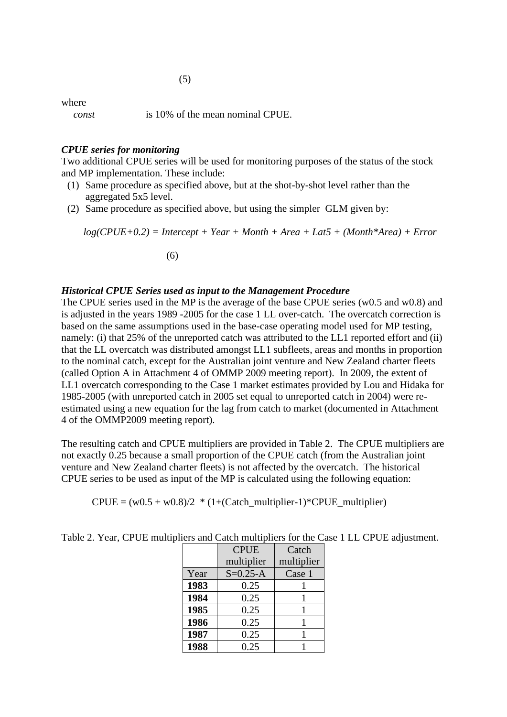where

*const* is 10% of the mean nominal CPUE.

### *CPUE series for monitoring*

Two additional CPUE series will be used for monitoring purposes of the status of the stock and MP implementation. These include:

- (1) Same procedure as specified above, but at the shot-by-shot level rather than the aggregated 5x5 level.
- (2) Same procedure as specified above, but using the simpler GLM given by:

*log(CPUE+0.2) = Intercept + Year + Month + Area + Lat5 + (Month\*Area) + Error*  (6)

### *Historical CPUE Series used as input to the Management Procedure*

The CPUE series used in the MP is the average of the base CPUE series (w0.5 and w0.8) and is adjusted in the years 1989 -2005 for the case 1 LL over-catch. The overcatch correction is based on the same assumptions used in the base-case operating model used for MP testing, namely: (i) that 25% of the unreported catch was attributed to the LL1 reported effort and (ii) that the LL overcatch was distributed amongst LL1 subfleets, areas and months in proportion to the nominal catch, except for the Australian joint venture and New Zealand charter fleets (called Option A in Attachment 4 of OMMP 2009 meeting report). In 2009, the extent of LL1 overcatch corresponding to the Case 1 market estimates provided by Lou and Hidaka for 1985-2005 (with unreported catch in 2005 set equal to unreported catch in 2004) were reestimated using a new equation for the lag from catch to market (documented in Attachment 4 of the OMMP2009 meeting report).

The resulting catch and CPUE multipliers are provided in Table 2. The CPUE multipliers are not exactly 0.25 because a small proportion of the CPUE catch (from the Australian joint venture and New Zealand charter fleets) is not affected by the overcatch. The historical CPUE series to be used as input of the MP is calculated using the following equation:

 $CPUE = (w0.5 + w0.8)/2$  \*  $(1+(Catch\_multiplier-1)*CPUE\_multiplier)$ 

|      | <b>CPUE</b>    | Catch      |
|------|----------------|------------|
|      | multiplier     | multiplier |
| Year | $S = 0.25 - A$ | Case 1     |
| 1983 | 0.25           |            |
| 1984 | 0.25           |            |
| 1985 | 0.25           |            |
| 1986 | 0.25           |            |
| 1987 | 0.25           |            |
| 1988 | 0.25           |            |

Table 2. Year, CPUE multipliers and Catch multipliers for the Case 1 LL CPUE adjustment.

(5)